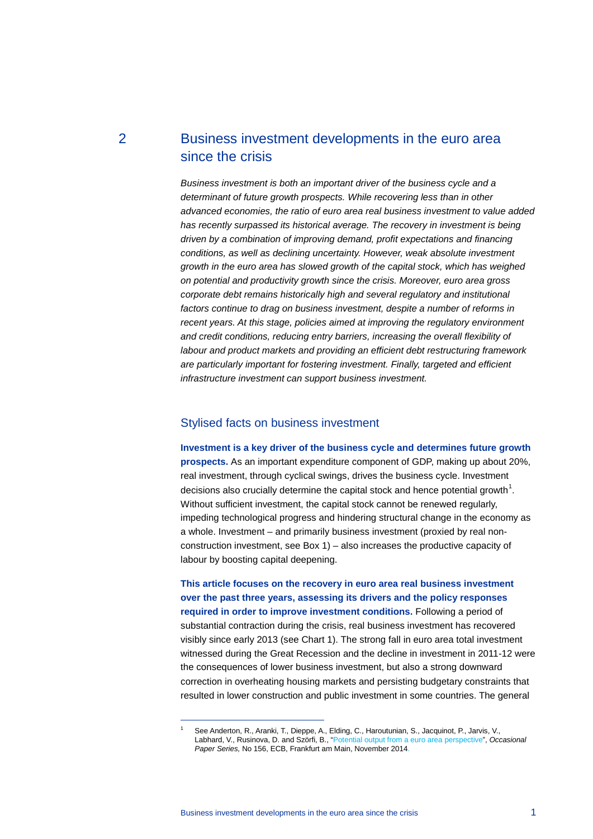# 2 Business investment developments in the euro area since the crisis

*Business investment is both an important driver of the business cycle and a determinant of future growth prospects. While recovering less than in other advanced economies, the ratio of euro area real business investment to value added has recently surpassed its historical average. The recovery in investment is being driven by a combination of improving demand, profit expectations and financing conditions, as well as declining uncertainty. However, weak absolute investment growth in the euro area has slowed growth of the capital stock, which has weighed on potential and productivity growth since the crisis. Moreover, euro area gross corporate debt remains historically high and several regulatory and institutional*  factors continue to drag on business investment, despite a number of reforms in *recent years. At this stage, policies aimed at improving the regulatory environment and credit conditions, reducing entry barriers, increasing the overall flexibility of labour and product markets and providing an efficient debt restructuring framework are particularly important for fostering investment. Finally, targeted and efficient infrastructure investment can support business investment.*

# Stylised facts on business investment

**Investment is a key driver of the business cycle and determines future growth prospects.** As an important expenditure component of GDP, making up about 20%, real investment, through cyclical swings, drives the business cycle. Investment decisions also crucially determine the capital stock and hence potential growth<sup>[1](#page-0-0)</sup>. Without sufficient investment, the capital stock cannot be renewed regularly, impeding technological progress and hindering structural change in the economy as a whole. Investment – and primarily business investment (proxied by real nonconstruction investment, see Box 1) – also increases the productive capacity of labour by boosting capital deepening.

**This article focuses on the recovery in euro area real business investment over the past three years, assessing its drivers and the policy responses required in order to improve investment conditions.** Following a period of substantial contraction during the crisis, real business investment has recovered visibly since early 2013 (see Chart 1). The strong fall in euro area total investment witnessed during the Great Recession and the decline in investment in 2011-12 were the consequences of lower business investment, but also a strong downward correction in overheating housing markets and persisting budgetary constraints that resulted in lower construction and public investment in some countries. The general

<span id="page-0-0"></span>-

<sup>1</sup> See Anderton, R., Aranki, T., Dieppe, A., Elding, C., Haroutunian, S., Jacquinot, P., Jarvis, V., Labhard, V., Rusinova, D. and Szörfi, B., ["Potential output from a euro area perspective"](https://www.ecb.europa.eu/pub/pdf/scpops/ecbop156.en.pdf), *Occasional Paper Series,* No 156, ECB, Frankfurt am Main, November 2014.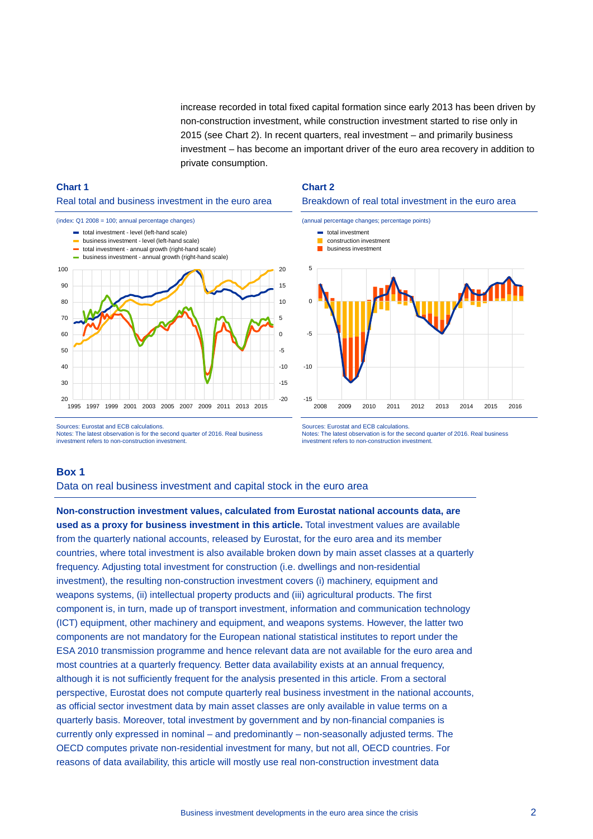increase recorded in total fixed capital formation since early 2013 has been driven by non-construction investment, while construction investment started to rise only in 2015 (see Chart 2). In recent quarters, real investment – and primarily business investment – has become an important driver of the euro area recovery in addition to private consumption.

# **Chart 1**  Real total and business investment in the euro area



#### **Chart 2**

#### Breakdown of real total investment in the euro area





Sources: Eurostat and ECB calculations. Notes: The latest observation is for the second quarter of 2016. Real business investment refers to non-construction investment.

Sources: Eurostat and ECB calculations. Notes: The latest observation is for the second quarter of 2016. Real business investment refers to non-construction investment.

# **Box 1**

Data on real business investment and capital stock in the euro area

**Non-construction investment values, calculated from Eurostat national accounts data, are used as a proxy for business investment in this article.** Total investment values are available from the quarterly national accounts, released by Eurostat, for the euro area and its member countries, where total investment is also available broken down by main asset classes at a quarterly frequency. Adjusting total investment for construction (i.e. dwellings and non-residential investment), the resulting non-construction investment covers (i) machinery, equipment and weapons systems, (ii) intellectual property products and (iii) agricultural products. The first component is, in turn, made up of transport investment, information and communication technology (ICT) equipment, other machinery and equipment, and weapons systems. However, the latter two components are not mandatory for the European national statistical institutes to report under the ESA 2010 transmission programme and hence relevant data are not available for the euro area and most countries at a quarterly frequency. Better data availability exists at an annual frequency, although it is not sufficiently frequent for the analysis presented in this article. From a sectoral perspective, Eurostat does not compute quarterly real business investment in the national accounts, as official sector investment data by main asset classes are only available in value terms on a quarterly basis. Moreover, total investment by government and by non-financial companies is currently only expressed in nominal – and predominantly – non-seasonally adjusted terms. The OECD computes private non-residential investment for many, but not all, OECD countries. For reasons of data availability, this article will mostly use real non-construction investment data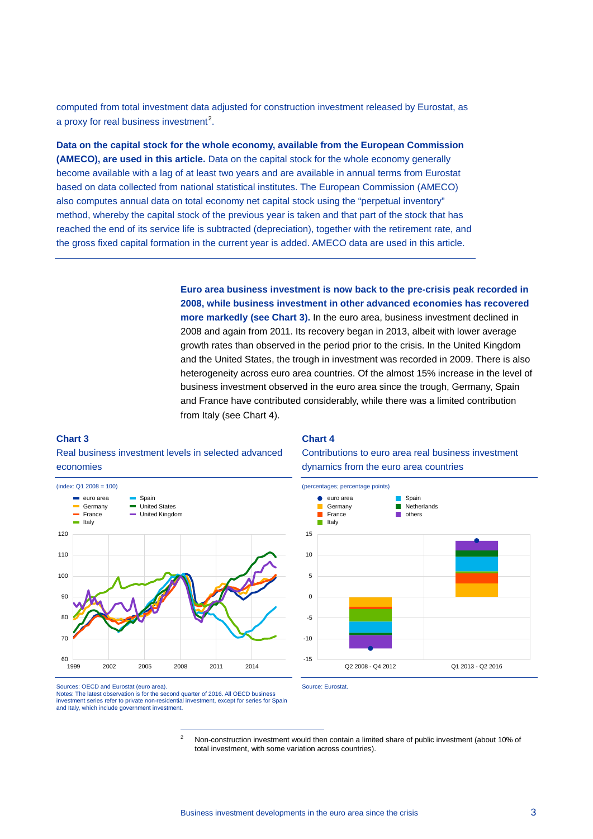computed from total investment data adjusted for construction investment released by Eurostat, as a proxy for real business investment<sup>[2](#page-2-0)</sup>.

**Data on the capital stock for the whole economy, available from the European Commission (AMECO), are used in this article.** Data on the capital stock for the whole economy generally become available with a lag of at least two years and are available in annual terms from Eurostat based on data collected from national statistical institutes. The European Commission (AMECO) also computes annual data on total economy net capital stock using the "perpetual inventory" method, whereby the capital stock of the previous year is taken and that part of the stock that has reached the end of its service life is subtracted (depreciation), together with the retirement rate, and the gross fixed capital formation in the current year is added. AMECO data are used in this article.

> **Euro area business investment is now back to the pre-crisis peak recorded in 2008, while business investment in other advanced economies has recovered more markedly (see Chart 3).** In the euro area, business investment declined in 2008 and again from 2011. Its recovery began in 2013, albeit with lower average growth rates than observed in the period prior to the crisis. In the United Kingdom and the United States, the trough in investment was recorded in 2009. There is also heterogeneity across euro area countries. Of the almost 15% increase in the level of business investment observed in the euro area since the trough, Germany, Spain and France have contributed considerably, while there was a limited contribution from Italy (see Chart 4).

#### **Chart 3**

## Real business investment levels in selected advanced economies



#### **Chart 4**

Contributions to euro area real business investment dynamics from the euro area countries



<span id="page-2-0"></span>Sources: OECD and Eurostat (euro area). Notes: The latest observation is for the second quarter of 2016. All OECD business investment series refer to private non-residential investment, except for series for Spain and Italy, which include government investment.

-

<sup>2</sup> Non-construction investment would then contain a limited share of public investment (about 10% of total investment, with some variation across countries).

Source: Eurostat.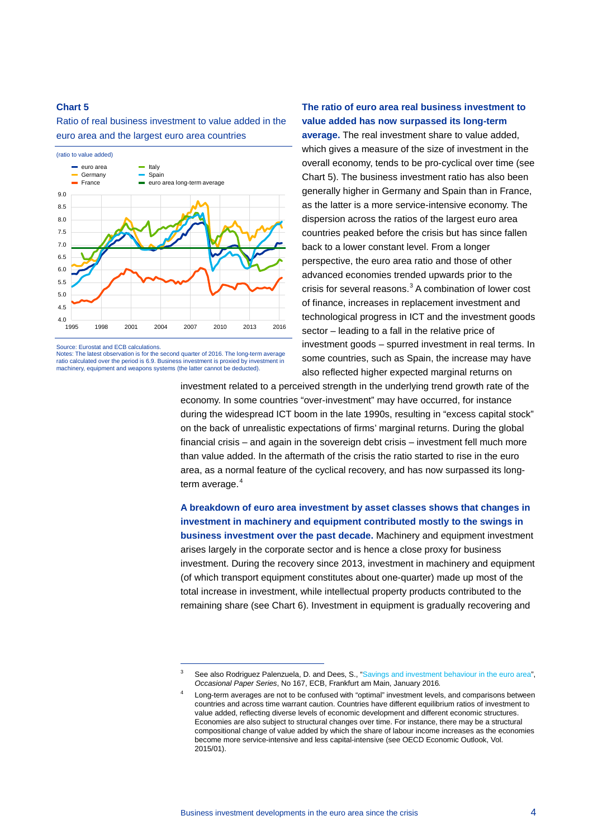Ratio of real business investment to value added in the euro area and the largest euro area countries



Source: Eurostat and ECB calculations.

Notes: The latest observation is for the second quarter of 2016. The long-term average ratio calculated over the period is 6.9. Business investment is proxied by investment in machinery, equipment and weapons systems (the latter cannot be deducted).

-

# **The ratio of euro area real business investment to value added has now surpassed its long-term**

**average.** The real investment share to value added, which gives a measure of the size of investment in the overall economy, tends to be pro-cyclical over time (see Chart 5). The business investment ratio has also been generally higher in Germany and Spain than in France, as the latter is a more service-intensive economy. The dispersion across the ratios of the largest euro area countries peaked before the crisis but has since fallen back to a lower constant level. From a longer perspective, the euro area ratio and those of other advanced economies trended upwards prior to the crisis for several reasons.<sup>[3](#page-3-0)</sup> A combination of lower cost of finance, increases in replacement investment and technological progress in ICT and the investment goods sector – leading to a fall in the relative price of investment goods – spurred investment in real terms. In some countries, such as Spain, the increase may have also reflected higher expected marginal returns on

investment related to a perceived strength in the underlying trend growth rate of the economy. In some countries "over-investment" may have occurred, for instance during the widespread ICT boom in the late 1990s, resulting in "excess capital stock" on the back of unrealistic expectations of firms' marginal returns. During the global financial crisis – and again in the sovereign debt crisis – investment fell much more than value added. In the aftermath of the crisis the ratio started to rise in the euro area, as a normal feature of the cyclical recovery, and has now surpassed its long-term average.<sup>[4](#page-3-1)</sup>

**A breakdown of euro area investment by asset classes shows that changes in investment in machinery and equipment contributed mostly to the swings in business investment over the past decade.** Machinery and equipment investment arises largely in the corporate sector and is hence a close proxy for business investment. During the recovery since 2013, investment in machinery and equipment (of which transport equipment constitutes about one-quarter) made up most of the total increase in investment, while intellectual property products contributed to the remaining share (see Chart 6). Investment in equipment is gradually recovering and

<span id="page-3-1"></span><span id="page-3-0"></span><sup>&</sup>lt;sup>3</sup> See also Rodriguez Palenzuela, D. and Dees, S., ["Savings and investment behaviour in the euro area",](https://www.ecb.europa.eu/pub/pdf/scpops/ecbop167.en.pdf) *Occasional Paper Series*, No 167, ECB, Frankfurt am Main, January 2016*.*

<sup>4</sup> Long-term averages are not to be confused with "optimal" investment levels, and comparisons between countries and across time warrant caution. Countries have different equilibrium ratios of investment to value added, reflecting diverse levels of economic development and different economic structures. Economies are also subject to structural changes over time. For instance, there may be a structural compositional change of value added by which the share of labour income increases as the economies become more service-intensive and less capital-intensive (see OECD Economic Outlook, Vol. 2015/01).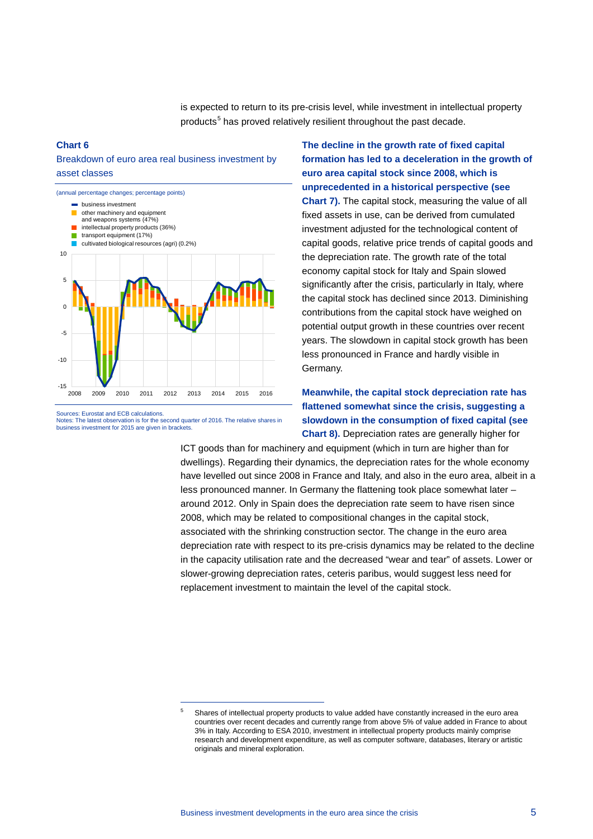is expected to return to its pre-crisis level, while investment in intellectual property products<sup>[5](#page-4-0)</sup> has proved relatively resilient throughout the past decade.

#### **Chart 6**

# Breakdown of euro area real business investment by asset classes



Notes: The latest observation is for the second quarter of 2016. The relative shares in business investment for 2015 are given in brackets.

<span id="page-4-0"></span>-

**The decline in the growth rate of fixed capital formation has led to a deceleration in the growth of euro area capital stock since 2008, which is unprecedented in a historical perspective (see Chart 7).** The capital stock, measuring the value of all fixed assets in use, can be derived from cumulated investment adjusted for the technological content of capital goods, relative price trends of capital goods and the depreciation rate. The growth rate of the total economy capital stock for Italy and Spain slowed significantly after the crisis, particularly in Italy, where the capital stock has declined since 2013. Diminishing contributions from the capital stock have weighed on potential output growth in these countries over recent years. The slowdown in capital stock growth has been less pronounced in France and hardly visible in Germany.

# **Meanwhile, the capital stock depreciation rate has flattened somewhat since the crisis, suggesting a slowdown in the consumption of fixed capital (see Chart 8).** Depreciation rates are generally higher for

ICT goods than for machinery and equipment (which in turn are higher than for dwellings). Regarding their dynamics, the depreciation rates for the whole economy have levelled out since 2008 in France and Italy, and also in the euro area, albeit in a less pronounced manner. In Germany the flattening took place somewhat later – around 2012. Only in Spain does the depreciation rate seem to have risen since 2008, which may be related to compositional changes in the capital stock, associated with the shrinking construction sector. The change in the euro area depreciation rate with respect to its pre-crisis dynamics may be related to the decline in the capacity utilisation rate and the decreased "wear and tear" of assets. Lower or slower-growing depreciation rates, ceteris paribus, would suggest less need for replacement investment to maintain the level of the capital stock.

<sup>5</sup> Shares of intellectual property products to value added have constantly increased in the euro area countries over recent decades and currently range from above 5% of value added in France to about 3% in Italy. According to ESA 2010, investment in intellectual property products mainly comprise research and development expenditure, as well as computer software, databases, literary or artistic originals and mineral exploration.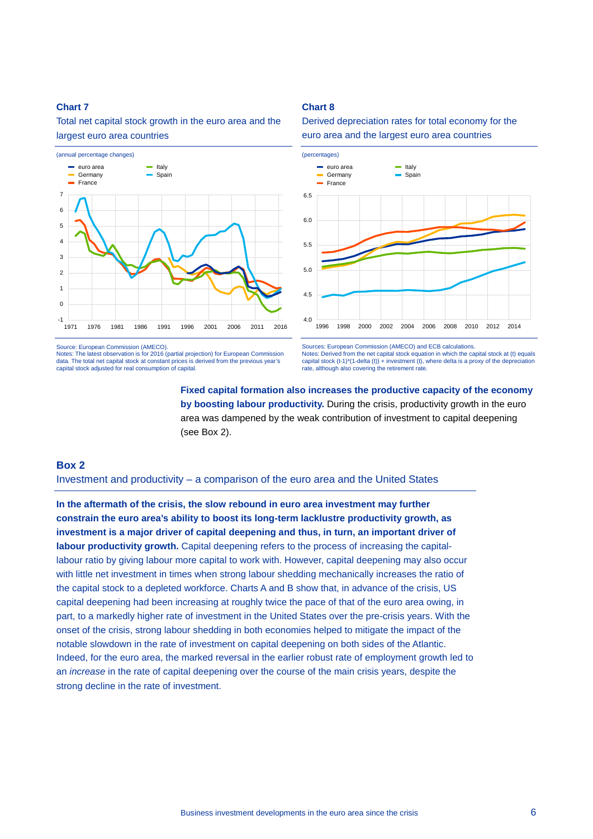Total net capital stock growth in the euro area and the largest euro area countries



Source: European Commission (AMECO).

Notes: The latest observation is for 2016 (partial projection) for European Commission data. The total net capital stock at constant prices is derived from the previous year's capital stock adjusted for real consumption of capital.

Derived depreciation rates for total economy for the euro area and the largest euro area countries

**Chart 8** 



Sources: European Commission (AMECO) and ECB calculations. Notes: Derived from the net capital stock equation in which the capital stock at (t) equals capital stock (t-1)\*(1-delta (t)) + investment (t), where delta is a proxy of the depreciation rate, although also covering the retirement rate

# **Fixed capital formation also increases the productive capacity of the economy by boosting labour productivity.** During the crisis, productivity growth in the euro area was dampened by the weak contribution of investment to capital deepening (see Box 2).

# **Box 2**

### Investment and productivity – a comparison of the euro area and the United States

**In the aftermath of the crisis, the slow rebound in euro area investment may further constrain the euro area's ability to boost its long-term lacklustre productivity growth, as investment is a major driver of capital deepening and thus, in turn, an important driver of labour productivity growth.** Capital deepening refers to the process of increasing the capitallabour ratio by giving labour more capital to work with. However, capital deepening may also occur with little net investment in times when strong labour shedding mechanically increases the ratio of the capital stock to a depleted workforce. Charts A and B show that, in advance of the crisis, US capital deepening had been increasing at roughly twice the pace of that of the euro area owing, in part, to a markedly higher rate of investment in the United States over the pre-crisis years. With the onset of the crisis, strong labour shedding in both economies helped to mitigate the impact of the notable slowdown in the rate of investment on capital deepening on both sides of the Atlantic. Indeed, for the euro area, the marked reversal in the earlier robust rate of employment growth led to an *increase* in the rate of capital deepening over the course of the main crisis years, despite the strong decline in the rate of investment.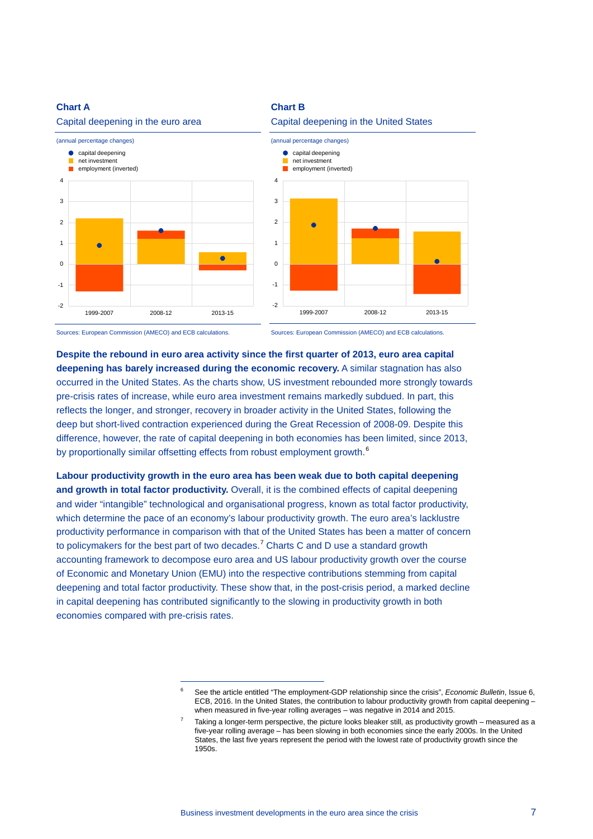#### **Chart A**



# **Chart B**



### Capital deepening in the United States

Sources: European Commission (AMECO) and ECB calculations.

<span id="page-6-0"></span>-

Sources: European Commission (AMECO) and ECB calculations.

**Despite the rebound in euro area activity since the first quarter of 2013, euro area capital deepening has barely increased during the economic recovery.** A similar stagnation has also occurred in the United States. As the charts show, US investment rebounded more strongly towards pre-crisis rates of increase, while euro area investment remains markedly subdued. In part, this reflects the longer, and stronger, recovery in broader activity in the United States, following the deep but short-lived contraction experienced during the Great Recession of 2008-09. Despite this difference, however, the rate of capital deepening in both economies has been limited, since 2013, by proportionally similar offsetting effects from robust employment growth.<sup>[6](#page-6-0)</sup>

**Labour productivity growth in the euro area has been weak due to both capital deepening and growth in total factor productivity.** Overall, it is the combined effects of capital deepening and wider "intangible" technological and organisational progress, known as total factor productivity, which determine the pace of an economy's labour productivity growth. The euro area's lacklustre productivity performance in comparison with that of the United States has been a matter of concern to policymakers for the best part of two decades.<sup>[7](#page-6-1)</sup> Charts C and D use a standard growth accounting framework to decompose euro area and US labour productivity growth over the course of Economic and Monetary Union (EMU) into the respective contributions stemming from capital deepening and total factor productivity. These show that, in the post-crisis period, a marked decline in capital deepening has contributed significantly to the slowing in productivity growth in both economies compared with pre-crisis rates.

<sup>6</sup> See the article entitled "The employment-GDP relationship since the crisis", *Economic Bulletin*, Issue 6, ECB, 2016. In the United States, the contribution to labour productivity growth from capital deepening – when measured in five-year rolling averages – was negative in 2014 and 2015.

<span id="page-6-1"></span><sup>7</sup> Taking a longer-term perspective, the picture looks bleaker still, as productivity growth – measured as a five-year rolling average – has been slowing in both economies since the early 2000s. In the United States, the last five years represent the period with the lowest rate of productivity growth since the 1950s.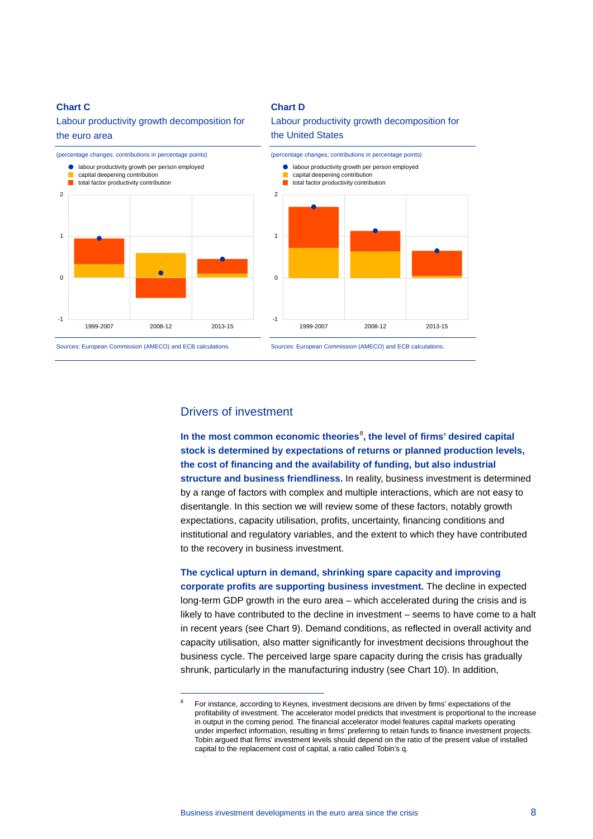#### **Chart C**

## Labour productivity growth decomposition for the euro area



#### **Chart D**

# Labour productivity growth decomposition for the United States



Sources: European Commission (AMECO) and ECB calculations.

<span id="page-7-0"></span>-



# Drivers of investment

**In the most common economic theories**[8](#page-7-0) **, the level of firms' desired capital stock is determined by expectations of returns or planned production levels, the cost of financing and the availability of funding, but also industrial structure and business friendliness.** In reality, business investment is determined by a range of factors with complex and multiple interactions, which are not easy to disentangle. In this section we will review some of these factors, notably growth expectations, capacity utilisation, profits, uncertainty, financing conditions and institutional and regulatory variables, and the extent to which they have contributed to the recovery in business investment.

**The cyclical upturn in demand, shrinking spare capacity and improving corporate profits are supporting business investment.** The decline in expected long-term GDP growth in the euro area – which accelerated during the crisis and is likely to have contributed to the decline in investment – seems to have come to a halt in recent years (see Chart 9). Demand conditions, as reflected in overall activity and capacity utilisation, also matter significantly for investment decisions throughout the business cycle. The perceived large spare capacity during the crisis has gradually shrunk, particularly in the manufacturing industry (see Chart 10). In addition,

<sup>8</sup> For instance, according to Keynes, investment decisions are driven by firms' expectations of the profitability of investment. The accelerator model predicts that investment is proportional to the increase in output in the coming period. The financial accelerator model features capital markets operating under imperfect information, resulting in firms' preferring to retain funds to finance investment projects. Tobin argued that firms' investment levels should depend on the ratio of the present value of installed capital to the replacement cost of capital, a ratio called Tobin's q.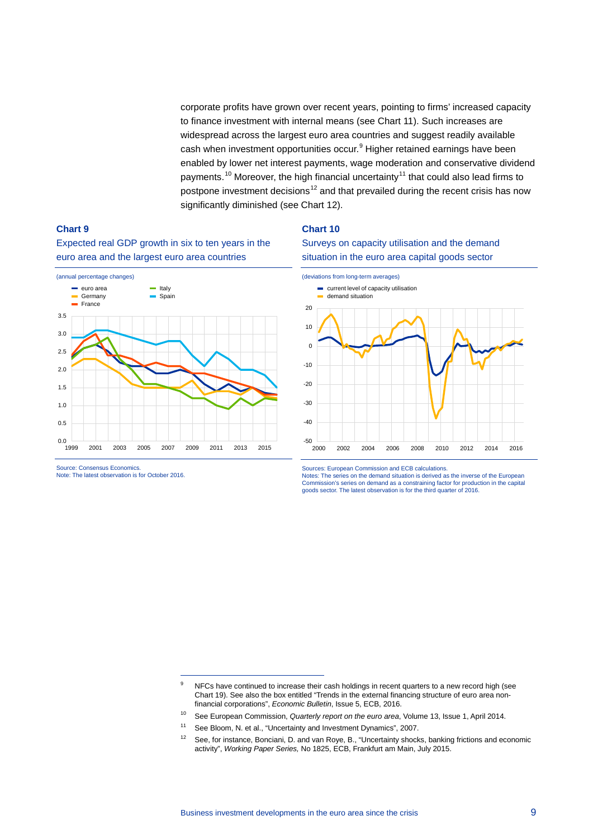corporate profits have grown over recent years, pointing to firms' increased capacity to finance investment with internal means (see Chart 11). Such increases are widespread across the largest euro area countries and suggest readily available cash when investment opportunities occur.<sup>[9](#page-8-0)</sup> Higher retained earnings have been enabled by lower net interest payments, wage moderation and conservative dividend payments.<sup>[10](#page-8-1)</sup> Moreover, the high financial uncertainty<sup>[11](#page-8-2)</sup> that could also lead firms to postpone investment decisions<sup>[12](#page-8-3)</sup> and that prevailed during the recent crisis has now significantly diminished (see Chart 12).

**Chart 10**

## **Chart 9**

Expected real GDP growth in six to ten years in the euro area and the largest euro area countries



-

Source: Consensus Economics. Note: The latest observation is for October 2016.





Sources: European Commission and ECB calculations.

Notes: The series on the demand situation is derived as the inverse of the European Commission's series on demand as a constraining factor for production in the capital goods sector. The latest observation is for the third quarter of 2016.

<span id="page-8-0"></span><sup>&</sup>lt;sup>9</sup> NFCs have continued to increase their cash holdings in recent quarters to a new record high (see Chart 19). See also the box entitled "Trends in the external financing structure of euro area nonfinancial corporations", *Economic Bulletin*, Issue 5, ECB, 2016.

<sup>10</sup> See European Commission, *Quarterly report on the euro area*, Volume 13, Issue 1, April 2014.

<span id="page-8-2"></span><span id="page-8-1"></span><sup>11</sup> See Bloom, N. et al., "Uncertainty and Investment Dynamics", 2007.

<span id="page-8-3"></span><sup>&</sup>lt;sup>12</sup> See, for instance, Bonciani, D. and van Roye, B., "Uncertainty shocks, banking frictions and economic activity", *Working Paper Series,* No 1825, ECB, Frankfurt am Main, July 2015.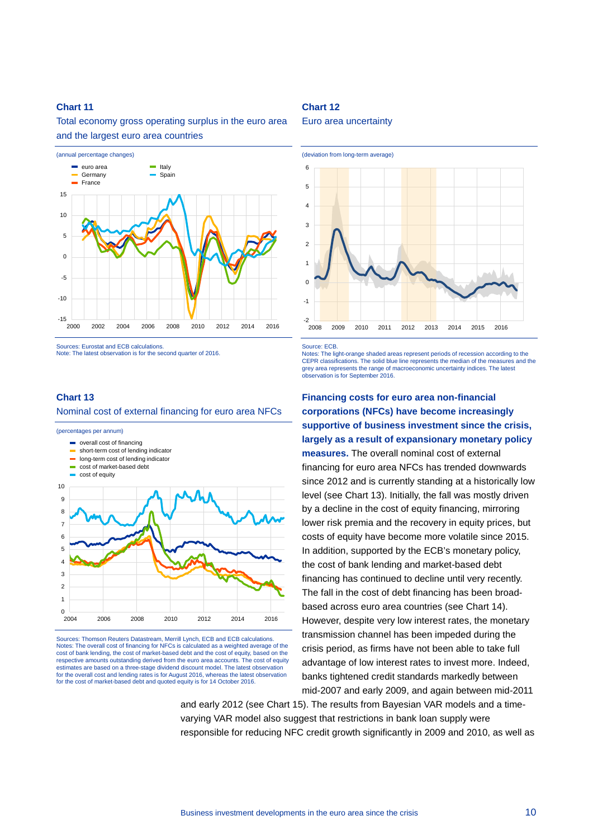Total economy gross operating surplus in the euro area and the largest euro area countries



Sources: Eurostat and ECB calculations. Note: The latest observation is for the second quarter of 2016.

#### **Chart 13**

#### Nominal cost of external financing for euro area NFCs

(percentages per annum) **s** overall cost of financing short-term cost of lending indicator  $\blacksquare$ long-term cost of lending indicator  $\overline{\phantom{0}}$ cost of market-based debt cost of equity10 9 8 7 6 5 4 3  $\overline{2}$ 1  $0$ <br>2004 2004 2006 2008 2010 2012 2014 2016

Sources: Thomson Reuters Datastream, Merrill Lynch, ECB and ECB calculations. Notes: The overall cost of financing for NFCs is calculated as a weighted average of the cost of bank lending, the cost of market-based debt and the cost of equity, based on the respective amounts outstanding derived from the euro area accounts. The cost of equity estimates are based on a three-stage dividend discount model. The latest observation for the overall cost and lending rates is for August 2016, whereas the latest observation for the cost of market-based debt and quoted equity is for 14 October 2016.

## **Chart 12**

#### Euro area uncertainty



Source: ECB.

Notes: The light-orange shaded areas represent periods of recession according to the CEPR classifications. The solid blue line represents the median of the measures and the grey area represents the range of macroeconomic uncertainty indices. The latest observation is for September 2016.

**Financing costs for euro area non-financial corporations (NFCs) have become increasingly supportive of business investment since the crisis, largely as a result of expansionary monetary policy measures.** The overall nominal cost of external financing for euro area NFCs has trended downwards since 2012 and is currently standing at a historically low level (see Chart 13). Initially, the fall was mostly driven by a decline in the cost of equity financing, mirroring lower risk premia and the recovery in equity prices, but costs of equity have become more volatile since 2015. In addition, supported by the ECB's monetary policy, the cost of bank lending and market-based debt financing has continued to decline until very recently. The fall in the cost of debt financing has been broadbased across euro area countries (see Chart 14). However, despite very low interest rates, the monetary transmission channel has been impeded during the crisis period, as firms have not been able to take full advantage of low interest rates to invest more. Indeed, banks tightened credit standards markedly between mid-2007 and early 2009, and again between mid-2011

and early 2012 (see Chart 15). The results from Bayesian VAR models and a timevarying VAR model also suggest that restrictions in bank loan supply were responsible for reducing NFC credit growth significantly in 2009 and 2010, as well as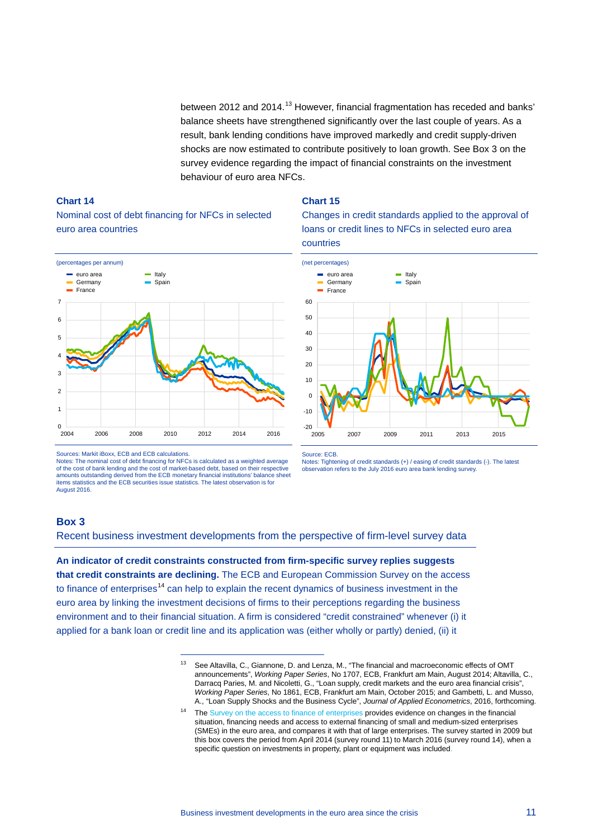between 2012 and 2014.<sup>[13](#page-10-0)</sup> However, financial fragmentation has receded and banks' balance sheets have strengthened significantly over the last couple of years. As a result, bank lending conditions have improved markedly and credit supply-driven shocks are now estimated to contribute positively to loan growth. See Box 3 on the survey evidence regarding the impact of financial constraints on the investment behaviour of euro area NFCs.

#### **Chart 14**

Nominal cost of debt financing for NFCs in selected euro area countries



#### **Chart 15**

Changes in credit standards applied to the approval of loans or credit lines to NFCs in selected euro area countries



Notes: The nominal cost of debt financing for NFCs is calculated as a weighted average of the cost of bank lending and the cost of market-based debt, based on their respective amounts outstanding derived from the ECB monetary financial institutions' balance sheet items statistics and the ECB securities issue statistics. The latest observation is for August 2016.

-



Notes: Tightening of credit standards (+) / easing of credit standards (-). The latest observation refers to the July 2016 euro area bank lending survey.

# **Box 3**

Recent business investment developments from the perspective of firm-level survey data

<span id="page-10-1"></span><span id="page-10-0"></span>**An indicator of credit constraints constructed from firm-specific survey replies suggests that credit constraints are declining.** The ECB and European Commission Survey on the access to finance of enterprises<sup>[14](#page-10-1)</sup> can help to explain the recent dynamics of business investment in the euro area by linking the investment decisions of firms to their perceptions regarding the business environment and to their financial situation. A firm is considered "credit constrained" whenever (i) it applied for a bank loan or credit line and its application was (either wholly or partly) denied, (ii) it

Sources: Markit iBoxx, ECB and ECB calculations.

<sup>13</sup> See Altavilla, C., Giannone, D. and Lenza, M., "The financial and macroeconomic effects of OMT announcements", *Working Paper Series*, No 1707, ECB, Frankfurt am Main, August 2014; Altavilla, C., Darracq Paries, M. and Nicoletti, G., "Loan supply, credit markets and the euro area financial crisis", *Working Paper Series*, No 1861, ECB, Frankfurt am Main, October 2015; and Gambetti, L. and Musso, A., "Loan Supply Shocks and the Business Cycle", *Journal of Applied Econometrics*, 2016, forthcoming.

<sup>&</sup>lt;sup>14</sup> Th[e Survey on the access to finance of enterprises](http://www.ecb.europa.eu/stats/money/surveys/sme/html/index.en.html) provides evidence on changes in the financial situation, financing needs and access to external financing of small and medium-sized enterprises (SMEs) in the euro area, and compares it with that of large enterprises. The survey started in 2009 but this box covers the period from April 2014 (survey round 11) to March 2016 (survey round 14), when a specific question on investments in property, plant or equipment was included.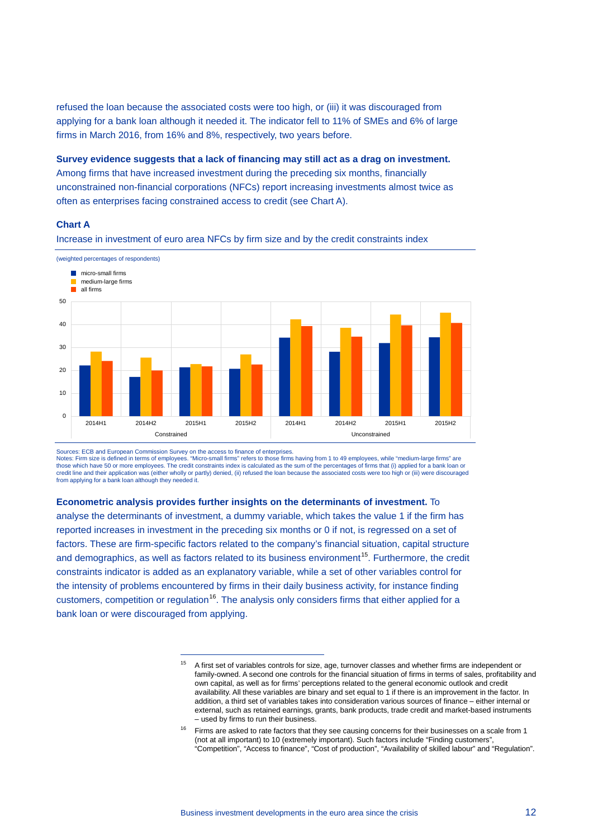refused the loan because the associated costs were too high, or (iii) it was discouraged from applying for a bank loan although it needed it. The indicator fell to 11% of SMEs and 6% of large firms in March 2016, from 16% and 8%, respectively, two years before.

**Survey evidence suggests that a lack of financing may still act as a drag on investment.**

Among firms that have increased investment during the preceding six months, financially unconstrained non-financial corporations (NFCs) report increasing investments almost twice as often as enterprises facing constrained access to credit (see Chart A).

### **Chart A**



Increase in investment of euro area NFCs by firm size and by the credit constraints index

Sources: ECB and European Commission Survey on the access to finance of enterprises.

-

Notes: Firm size is defined in terms of employees. "Micro-small firms" refers to those firms having from 1 to 49 employees, while "medium-large firms" are those which have 50 or more employees. The credit constraints index is calculated as the sum of the percentages of firms that (i) applied for a bank loan or credit line and their application was (either wholly or partly) denied, (ii) refused the loan because the associated costs were too high or (iii) were discouraged from applying for a bank loan although they needed it.

### **Econometric analysis provides further insights on the determinants of investment.** To

<span id="page-11-0"></span>analyse the determinants of investment, a dummy variable, which takes the value 1 if the firm has reported increases in investment in the preceding six months or 0 if not, is regressed on a set of factors. These are firm-specific factors related to the company's financial situation, capital structure and demographics, as well as factors related to its business environment<sup>15</sup>. Furthermore, the credit constraints indicator is added as an explanatory variable, while a set of other variables control for the intensity of problems encountered by firms in their daily business activity, for instance finding customers, competition or regulation<sup>[16](#page-11-1)</sup>. The analysis only considers firms that either applied for a bank loan or were discouraged from applying.

<sup>15</sup> A first set of variables controls for size, age, turnover classes and whether firms are independent or family-owned. A second one controls for the financial situation of firms in terms of sales, profitability and own capital, as well as for firms' perceptions related to the general economic outlook and credit availability. All these variables are binary and set equal to 1 if there is an improvement in the factor. In addition, a third set of variables takes into consideration various sources of finance – either internal or external, such as retained earnings, grants, bank products, trade credit and market-based instruments – used by firms to run their business.

<span id="page-11-1"></span> $16$  Firms are asked to rate factors that they see causing concerns for their businesses on a scale from 1 (not at all important) to 10 (extremely important). Such factors include "Finding customers", "Competition", "Access to finance", "Cost of production", "Availability of skilled labour" and "Regulation".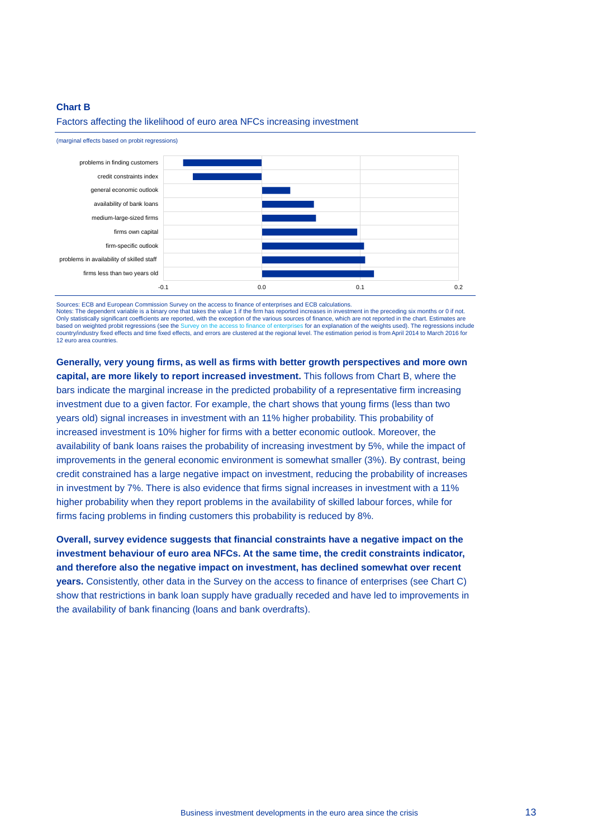#### **Chart B**



#### Factors affecting the likelihood of euro area NFCs increasing investment

Sources: ECB and European Commission Survey on the access to finance of enterprises and ECB calculations. Notes: The dependent variable is a binary one that takes the value 1 if the firm has reported increases in investment in the preceding six months or 0 if not. Only statistically significant coefficients are reported, with the exception of the various sources of finance, which are not reported in the chart. Estimates are based on weighted probit regressions (see the [Survey on the access to finance of enterprises](http://www.ecb.europa.eu/stats/money/surveys/sme/html/index.en.html) for an explanation of the weights used). The regressions include<br>country/industry fixed effects and time fixed effects, and error 12 euro area countries

**Generally, very young firms, as well as firms with better growth perspectives and more own capital, are more likely to report increased investment.** This follows from Chart B, where the bars indicate the marginal increase in the predicted probability of a representative firm increasing investment due to a given factor. For example, the chart shows that young firms (less than two years old) signal increases in investment with an 11% higher probability. This probability of increased investment is 10% higher for firms with a better economic outlook. Moreover, the availability of bank loans raises the probability of increasing investment by 5%, while the impact of improvements in the general economic environment is somewhat smaller (3%). By contrast, being credit constrained has a large negative impact on investment, reducing the probability of increases in investment by 7%. There is also evidence that firms signal increases in investment with a 11% higher probability when they report problems in the availability of skilled labour forces, while for firms facing problems in finding customers this probability is reduced by 8%.

**Overall, survey evidence suggests that financial constraints have a negative impact on the investment behaviour of euro area NFCs. At the same time, the credit constraints indicator, and therefore also the negative impact on investment, has declined somewhat over recent years.** Consistently, other data in the Survey on the access to finance of enterprises (see Chart C) show that restrictions in bank loan supply have gradually receded and have led to improvements in the availability of bank financing (loans and bank overdrafts).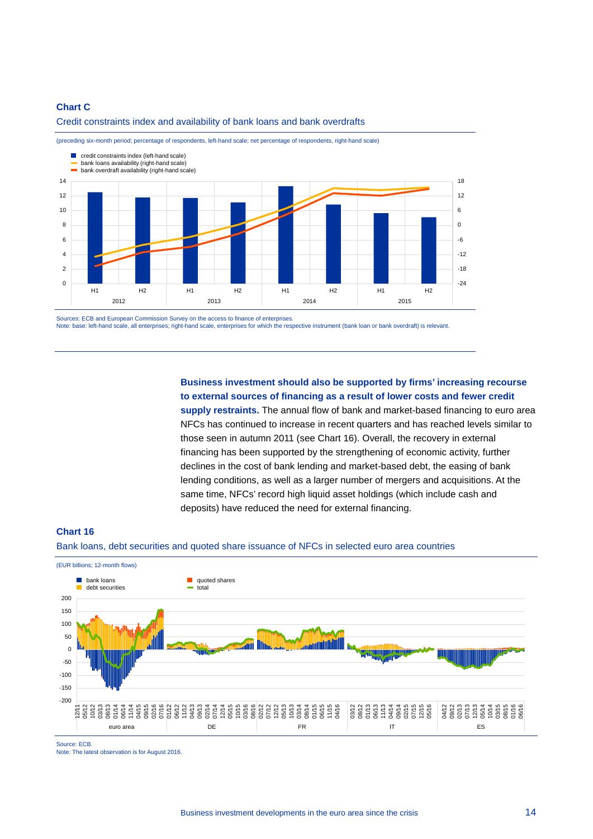### **Chart C**

#### Credit constraints index and availability of bank loans and bank overdrafts



(preceding six-month period; percentage of respondents, left-hand scale; net percentage of respondents, right-hand scale)

Sources: ECB and European Commission Survey on the access to finance of enterprises. Note: base: left-hand scale, all enterprises; right-hand scale, enterprises for which the respective instrument (bank loan or bank overdraft) is relevant.

> **Business investment should also be supported by firms' increasing recourse to external sources of financing as a result of lower costs and fewer credit**

**supply restraints.** The annual flow of bank and market-based financing to euro area NFCs has continued to increase in recent quarters and has reached levels similar to those seen in autumn 2011 (see Chart 16). Overall, the recovery in external financing has been supported by the strengthening of economic activity, further declines in the cost of bank lending and market-based debt, the easing of bank lending conditions, as well as a larger number of mergers and acquisitions. At the same time, NFCs' record high liquid asset holdings (which include cash and deposits) have reduced the need for external financing.

#### **Chart 16**

Bank loans, debt securities and quoted share issuance of NFCs in selected euro area countries



Source: ECB.

Note: The latest observation is for August 2016.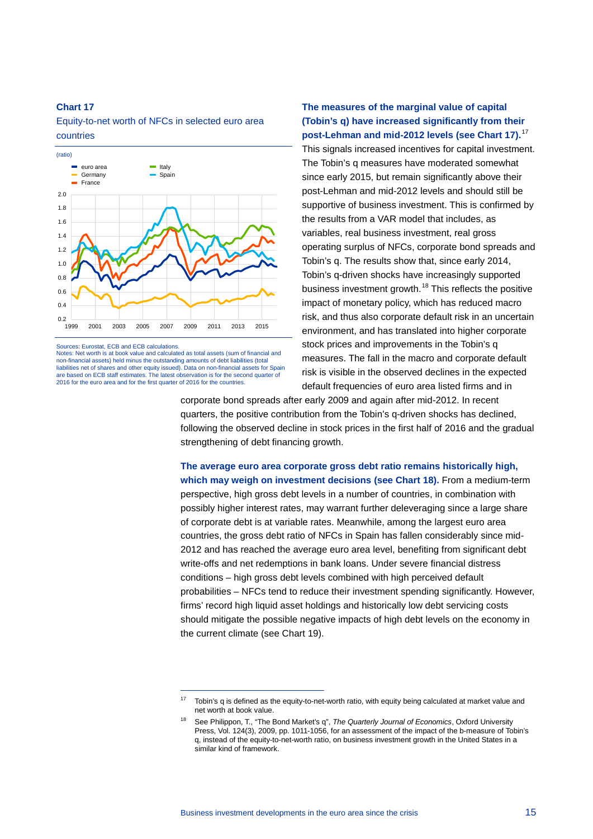Equity-to-net worth of NFCs in selected euro area countries



Sources: Eurostat, ECB and ECB calculations.

Notes: Net worth is at book value and calculated as total assets (sum of financial and non-financial assets) held minus the outstanding amounts of debt liabilities (total liabilities net of shares and other equity issued). Data on non-financial assets for Spain are based on ECB staff estimates. The latest observation is for the second quarter of 2016 for the euro area and for the first quarter of 2016 for the countries.

-

**The measures of the marginal value of capital (Tobin's q) have increased significantly from their post-Lehman and mid-2012 levels (see Chart 17).**[17](#page-14-0)

This signals increased incentives for capital investment. The Tobin's q measures have moderated somewhat since early 2015, but remain significantly above their post-Lehman and mid-2012 levels and should still be supportive of business investment. This is confirmed by the results from a VAR model that includes, as variables, real business investment, real gross operating surplus of NFCs, corporate bond spreads and Tobin's q. The results show that, since early 2014, Tobin's q-driven shocks have increasingly supported business investment growth.<sup>[18](#page-14-1)</sup> This reflects the positive impact of monetary policy, which has reduced macro risk, and thus also corporate default risk in an uncertain environment, and has translated into higher corporate stock prices and improvements in the Tobin's q measures. The fall in the macro and corporate default risk is visible in the observed declines in the expected default frequencies of euro area listed firms and in

corporate bond spreads after early 2009 and again after mid-2012. In recent quarters, the positive contribution from the Tobin's q-driven shocks has declined, following the observed decline in stock prices in the first half of 2016 and the gradual strengthening of debt financing growth.

**The average euro area corporate gross debt ratio remains historically high, which may weigh on investment decisions (see Chart 18).** From a medium-term perspective, high gross debt levels in a number of countries, in combination with possibly higher interest rates, may warrant further deleveraging since a large share of corporate debt is at variable rates. Meanwhile, among the largest euro area countries, the gross debt ratio of NFCs in Spain has fallen considerably since mid-2012 and has reached the average euro area level, benefiting from significant debt write-offs and net redemptions in bank loans. Under severe financial distress conditions – high gross debt levels combined with high perceived default probabilities – NFCs tend to reduce their investment spending significantly. However, firms' record high liquid asset holdings and historically low debt servicing costs should mitigate the possible negative impacts of high debt levels on the economy in the current climate (see Chart 19).

<span id="page-14-1"></span><span id="page-14-0"></span><sup>17</sup> Tobin's q is defined as the equity-to-net-worth ratio, with equity being calculated at market value and net worth at book value.

<sup>18</sup> See Philippon, T., "The Bond Market's q", *The Quarterly Journal of Economics*, Oxford University Press, Vol. 124(3), 2009, pp. 1011-1056, for an assessment of the impact of the b-measure of Tobin's q, instead of the equity-to-net-worth ratio, on business investment growth in the United States in a similar kind of framework.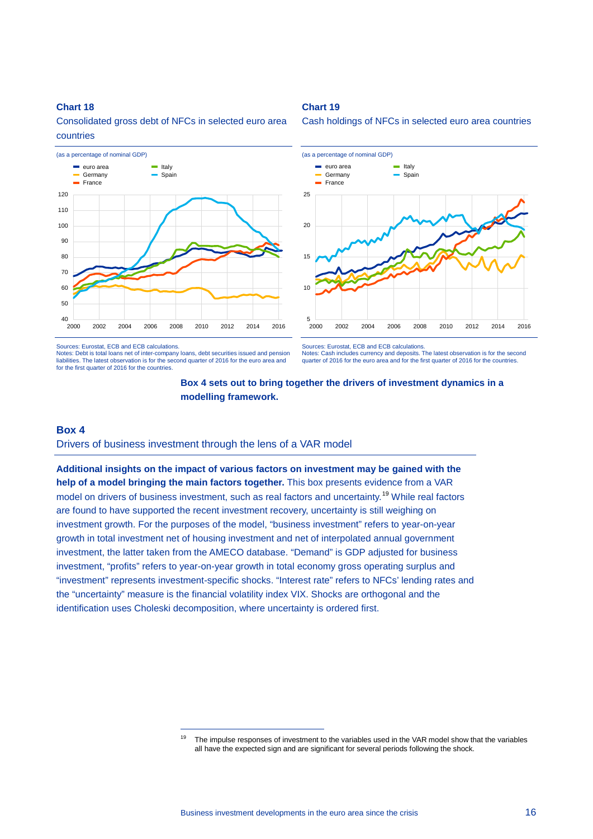

Consolidated gross debt of NFCs in selected euro area countries

#### Sources: Eurostat, ECB and ECB calculations.

Notes: Debt is total loans net of inter-company loans, debt securities issued and pension liabilities. The latest observation is for the second quarter of 2016 for the euro area and for the first quarter of 2016 for the countries.

Cash holdings of NFCs in selected euro area countries



Sources: Eurostat, ECB and ECB calculations. Notes: Cash includes currency and deposits. The latest observation is for the second quarter of 2016 for the euro area and for the first quarter of 2016 for the countries.



**Chart 19**

# **Box 4**

Drivers of business investment through the lens of a VAR model

<span id="page-15-0"></span>-

**Additional insights on the impact of various factors on investment may be gained with the help of a model bringing the main factors together.** This box presents evidence from a VAR model on drivers of business investment, such as real factors and uncertainty.<sup>[19](#page-15-0)</sup> While real factors are found to have supported the recent investment recovery, uncertainty is still weighing on investment growth. For the purposes of the model, "business investment" refers to year-on-year growth in total investment net of housing investment and net of interpolated annual government investment, the latter taken from the AMECO database. "Demand" is GDP adjusted for business investment, "profits" refers to year-on-year growth in total economy gross operating surplus and "investment" represents investment-specific shocks. "Interest rate" refers to NFCs' lending rates and the "uncertainty" measure is the financial volatility index VIX. Shocks are orthogonal and the identification uses Choleski decomposition, where uncertainty is ordered first.

The impulse responses of investment to the variables used in the VAR model show that the variables all have the expected sign and are significant for several periods following the shock.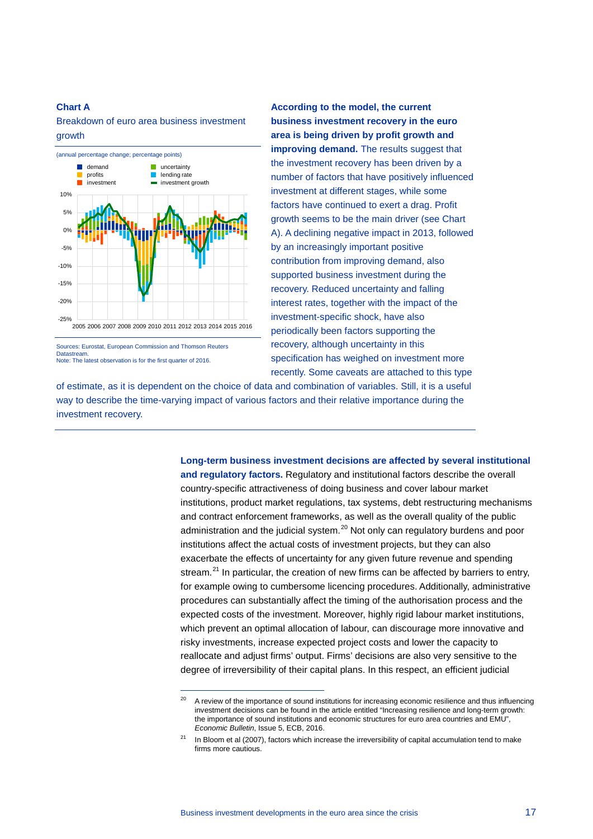### **Chart A**

Breakdown of euro area business investment growth



Sources: Eurostat, European Commission and Thomson Reuters **Datastream** Note: The latest observation is for the first quarter of 2016.

-

**According to the model, the current business investment recovery in the euro area is being driven by profit growth and improving demand.** The results suggest that the investment recovery has been driven by a number of factors that have positively influenced investment at different stages, while some factors have continued to exert a drag. Profit growth seems to be the main driver (see Chart A). A declining negative impact in 2013, followed by an increasingly important positive contribution from improving demand, also supported business investment during the recovery. Reduced uncertainty and falling interest rates, together with the impact of the investment-specific shock, have also periodically been factors supporting the recovery, although uncertainty in this specification has weighed on investment more recently. Some caveats are attached to this type

of estimate, as it is dependent on the choice of data and combination of variables. Still, it is a useful way to describe the time-varying impact of various factors and their relative importance during the investment recovery.

> **Long-term business investment decisions are affected by several institutional and regulatory factors.** Regulatory and institutional factors describe the overall country-specific attractiveness of doing business and cover labour market institutions, product market regulations, tax systems, debt restructuring mechanisms and contract enforcement frameworks, as well as the overall quality of the public administration and the judicial system. $^{20}$  $^{20}$  $^{20}$  Not only can regulatory burdens and poor institutions affect the actual costs of investment projects, but they can also exacerbate the effects of uncertainty for any given future revenue and spending stream. $^{21}$  $^{21}$  $^{21}$  In particular, the creation of new firms can be affected by barriers to entry, for example owing to cumbersome licencing procedures. Additionally, administrative procedures can substantially affect the timing of the authorisation process and the expected costs of the investment. Moreover, highly rigid labour market institutions, which prevent an optimal allocation of labour, can discourage more innovative and risky investments, increase expected project costs and lower the capacity to reallocate and adjust firms' output. Firms' decisions are also very sensitive to the degree of irreversibility of their capital plans. In this respect, an efficient judicial

<span id="page-16-0"></span><sup>&</sup>lt;sup>20</sup> A review of the importance of sound institutions for increasing economic resilience and thus influencing investment decisions can be found in the article entitled "Increasing resilience and long-term growth: the importance of sound institutions and economic structures for euro area countries and EMU", *Economic Bulletin*, Issue 5, ECB, 2016.

<span id="page-16-1"></span>In Bloom et al (2007), factors which increase the irreversibility of capital accumulation tend to make firms more cautious.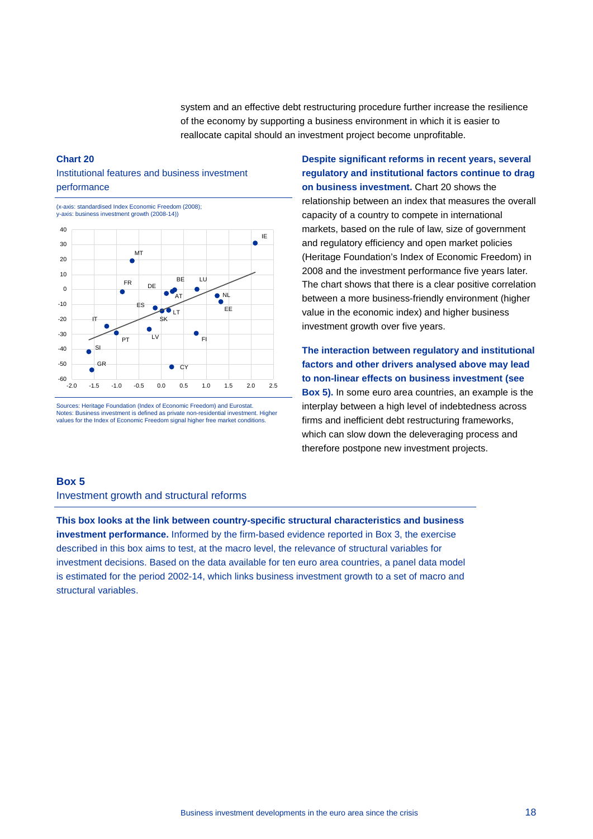system and an effective debt restructuring procedure further increase the resilience of the economy by supporting a business environment in which it is easier to reallocate capital should an investment project become unprofitable.

### **Chart 20**

# Institutional features and business investment performance

(x-axis: standardised Index Economic Freedom (2008); y-axis: business investment growth (2008-14))



Sources: Heritage Foundation (Index of Economic Freedom) and Eurostat. Notes: Business investment is defined as private non-residential investment. Higher values for the Index of Economic Freedom signal higher free market conditions.

**Despite significant reforms in recent years, several regulatory and institutional factors continue to drag on business investment.** Chart 20 shows the

relationship between an index that measures the overall capacity of a country to compete in international markets, based on the rule of law, size of government and regulatory efficiency and open market policies (Heritage Foundation's Index of Economic Freedom) in 2008 and the investment performance five years later. The chart shows that there is a clear positive correlation between a more business-friendly environment (higher value in the economic index) and higher business investment growth over five years.

**The interaction between regulatory and institutional factors and other drivers analysed above may lead to non-linear effects on business investment (see Box 5).** In some euro area countries, an example is the interplay between a high level of indebtedness across firms and inefficient debt restructuring frameworks, which can slow down the deleveraging process and therefore postpone new investment projects.

#### **Box 5**

Investment growth and structural reforms

**This box looks at the link between country-specific structural characteristics and business investment performance.** Informed by the firm-based evidence reported in Box 3, the exercise described in this box aims to test, at the macro level, the relevance of structural variables for investment decisions. Based on the data available for ten euro area countries, a panel data model is estimated for the period 2002-14, which links business investment growth to a set of macro and structural variables.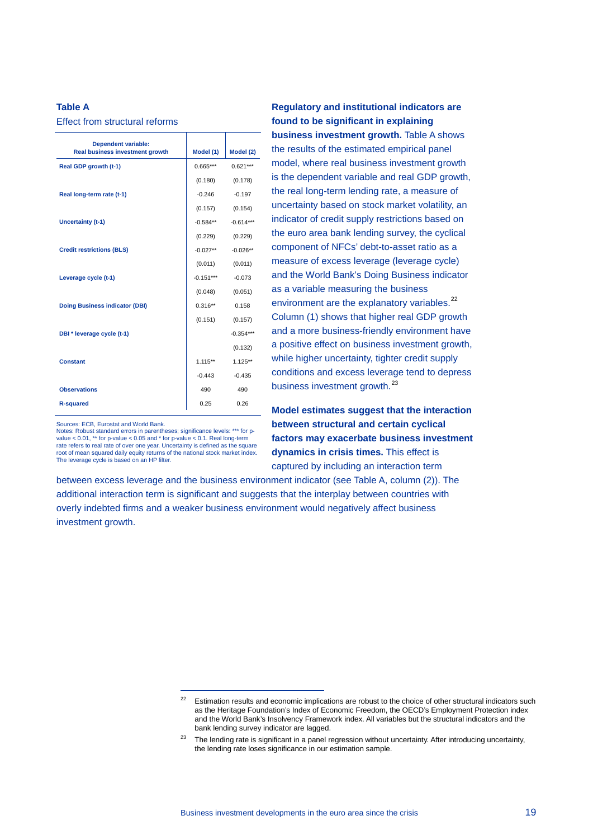### **Table A**

Effect from structural reforms

| Model (1)   | Model (2)   |
|-------------|-------------|
| $0.665***$  | $0.621***$  |
| (0.180)     | (0.178)     |
| $-0.246$    | $-0.197$    |
| (0.157)     | (0.154)     |
| $-0.584**$  | $-0.614***$ |
| (0.229)     | (0.229)     |
| $-0.027**$  | $-0.026**$  |
| (0.011)     | (0.011)     |
| $-0.151***$ | $-0.073$    |
| (0.048)     | (0.051)     |
| $0.316**$   | 0.158       |
| (0.151)     | (0.157)     |
|             | $-0.354***$ |
|             | (0.132)     |
| $1.115***$  | $1.125**$   |
| $-0.443$    | $-0.435$    |
| 490         | 490         |
| 0.25        | 0.26        |
|             |             |

#### Sources: ECB, Eurostat and World Bank.

Notes: Robust standard errors in parentheses; significance levels: \*\*\* for pvalue < 0.01, \*\* for p-value < 0.05 and \* for p-value < 0.1. Real long-term rate refers to real rate of over one year. Uncertainty is defined as the square root of mean squared daily equity returns of the national stock market index. The leverage cycle is based on an HP filter.

-

# **Regulatory and institutional indicators are found to be significant in explaining**

**business investment growth.** Table A shows the results of the estimated empirical panel model, where real business investment growth is the dependent variable and real GDP growth, the real long-term lending rate, a measure of uncertainty based on stock market volatility, an indicator of credit supply restrictions based on the euro area bank lending survey, the cyclical component of NFCs' debt-to-asset ratio as a measure of excess leverage (leverage cycle) and the World Bank's Doing Business indicator as a variable measuring the business environment are the explanatory variables.<sup>[22](#page-18-0)</sup> Column (1) shows that higher real GDP growth and a more business-friendly environment have a positive effect on business investment growth, while higher uncertainty, tighter credit supply conditions and excess leverage tend to depress business investment growth.<sup>23</sup>

**Model estimates suggest that the interaction between structural and certain cyclical factors may exacerbate business investment dynamics in crisis times.** This effect is captured by including an interaction term

between excess leverage and the business environment indicator (see Table A, column (2)). The additional interaction term is significant and suggests that the interplay between countries with overly indebted firms and a weaker business environment would negatively affect business investment growth.

<span id="page-18-0"></span><sup>&</sup>lt;sup>22</sup> Estimation results and economic implications are robust to the choice of other structural indicators such as the Heritage Foundation's Index of Economic Freedom, the OECD's Employment Protection index and the World Bank's Insolvency Framework index. All variables but the structural indicators and the bank lending survey indicator are lagged.

<span id="page-18-1"></span> $23$  The lending rate is significant in a panel regression without uncertainty. After introducing uncertainty, the lending rate loses significance in our estimation sample.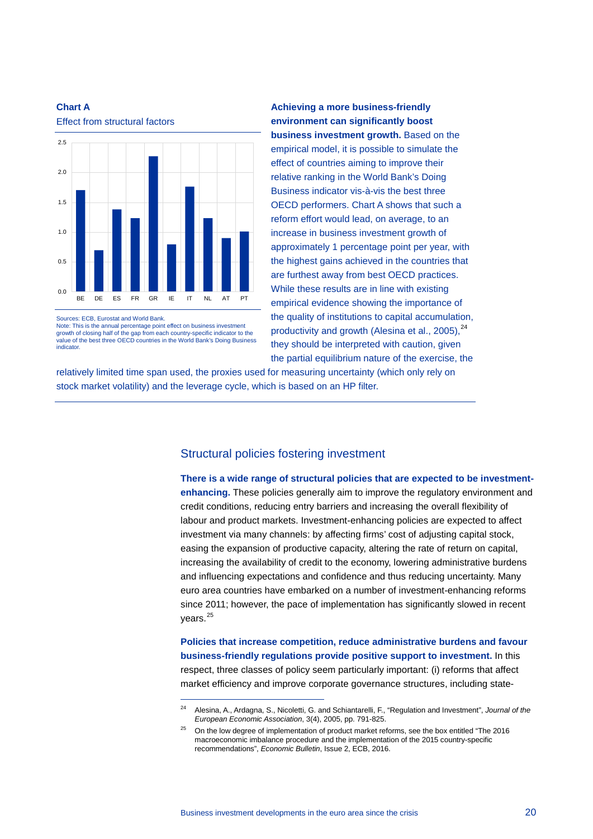

**Chart A** Effect from structural factors

Sources: ECB, Eurostat and World Bank.

Note: This is the annual percentage point effect on business investment growth of closing half of the gap from each country-specific indicator to the value of the best three OECD countries in the World Bank's Doing Business indicator.

-

**Achieving a more business-friendly environment can significantly boost business investment growth.** Based on the empirical model, it is possible to simulate the effect of countries aiming to improve their relative ranking in the World Bank's Doing Business indicator vis-à-vis the best three OECD performers. Chart A shows that such a reform effort would lead, on average, to an increase in business investment growth of approximately 1 percentage point per year, with the highest gains achieved in the countries that are furthest away from best OECD practices. While these results are in line with existing empirical evidence showing the importance of the quality of institutions to capital accumulation, productivity and growth (Alesina et al., 2005).<sup>[24](#page-19-0)</sup> they should be interpreted with caution, given the partial equilibrium nature of the exercise, the

relatively limited time span used, the proxies used for measuring uncertainty (which only rely on stock market volatility) and the leverage cycle, which is based on an HP filter.

# Structural policies fostering investment

**There is a wide range of structural policies that are expected to be investmentenhancing.** These policies generally aim to improve the regulatory environment and credit conditions, reducing entry barriers and increasing the overall flexibility of labour and product markets. Investment-enhancing policies are expected to affect investment via many channels: by affecting firms' cost of adjusting capital stock, easing the expansion of productive capacity, altering the rate of return on capital, increasing the availability of credit to the economy, lowering administrative burdens and influencing expectations and confidence and thus reducing uncertainty. Many euro area countries have embarked on a number of investment-enhancing reforms since 2011; however, the pace of implementation has significantly slowed in recent years.<sup>[25](#page-19-1)</sup>

**Policies that increase competition, reduce administrative burdens and favour business-friendly regulations provide positive support to investment.** In this respect, three classes of policy seem particularly important: (i) reforms that affect market efficiency and improve corporate governance structures, including state-

<span id="page-19-1"></span><span id="page-19-0"></span><sup>24</sup> Alesina, A., Ardagna, S., Nicoletti, G. and Schiantarelli, F., "Regulation and Investment", *Journal of the European Economic Association*, 3(4), 2005, pp. 791-825.

<sup>&</sup>lt;sup>25</sup> On the low degree of implementation of product market reforms, see the box entitled "The 2016 macroeconomic imbalance procedure and the implementation of the 2015 country-specific recommendations", *Economic Bulletin*, Issue 2, ECB, 2016.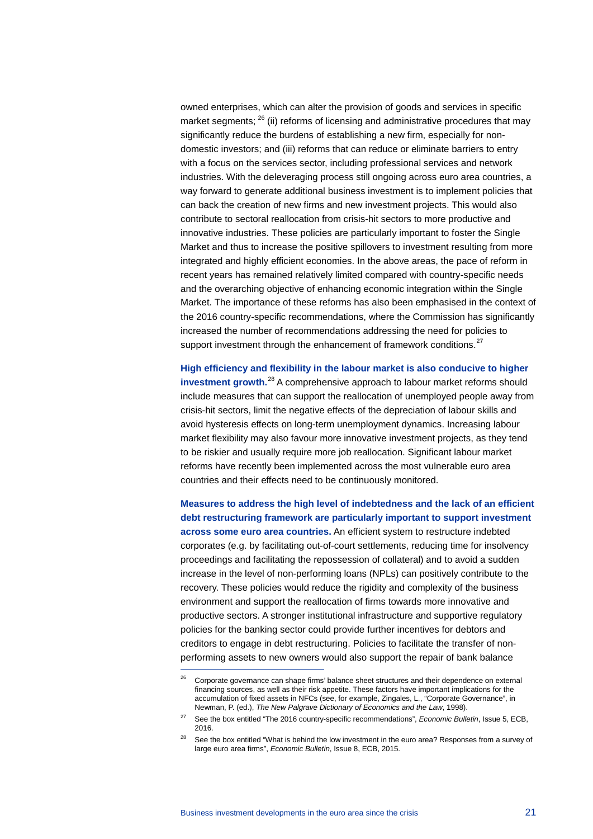owned enterprises, which can alter the provision of goods and services in specific market segments;  $^{26}$  $^{26}$  $^{26}$  (ii) reforms of licensing and administrative procedures that may significantly reduce the burdens of establishing a new firm, especially for nondomestic investors; and (iii) reforms that can reduce or eliminate barriers to entry with a focus on the services sector, including professional services and network industries. With the deleveraging process still ongoing across euro area countries, a way forward to generate additional business investment is to implement policies that can back the creation of new firms and new investment projects. This would also contribute to sectoral reallocation from crisis-hit sectors to more productive and innovative industries. These policies are particularly important to foster the Single Market and thus to increase the positive spillovers to investment resulting from more integrated and highly efficient economies. In the above areas, the pace of reform in recent years has remained relatively limited compared with country-specific needs and the overarching objective of enhancing economic integration within the Single Market. The importance of these reforms has also been emphasised in the context of the 2016 country-specific recommendations, where the Commission has significantly increased the number of recommendations addressing the need for policies to support investment through the enhancement of framework conditions.<sup>[27](#page-20-1)</sup>

**High efficiency and flexibility in the labour market is also conducive to higher investment growth.**[28](#page-20-2) A comprehensive approach to labour market reforms should include measures that can support the reallocation of unemployed people away from crisis-hit sectors, limit the negative effects of the depreciation of labour skills and avoid hysteresis effects on long-term unemployment dynamics. Increasing labour market flexibility may also favour more innovative investment projects, as they tend to be riskier and usually require more job reallocation. Significant labour market reforms have recently been implemented across the most vulnerable euro area countries and their effects need to be continuously monitored.

**Measures to address the high level of indebtedness and the lack of an efficient debt restructuring framework are particularly important to support investment across some euro area countries.** An efficient system to restructure indebted corporates (e.g. by facilitating out-of-court settlements, reducing time for insolvency proceedings and facilitating the repossession of collateral) and to avoid a sudden increase in the level of non-performing loans (NPLs) can positively contribute to the recovery. These policies would reduce the rigidity and complexity of the business environment and support the reallocation of firms towards more innovative and productive sectors. A stronger institutional infrastructure and supportive regulatory policies for the banking sector could provide further incentives for debtors and creditors to engage in debt restructuring. Policies to facilitate the transfer of nonperforming assets to new owners would also support the repair of bank balance

-

<span id="page-20-0"></span><sup>&</sup>lt;sup>26</sup> Corporate governance can shape firms' balance sheet structures and their dependence on external financing sources, as well as their risk appetite. These factors have important implications for the accumulation of fixed assets in NFCs (see, for example, Zingales, L., "Corporate Governance", in Newman, P. (ed.), *The New Palgrave Dictionary of Economics and the Law*, 1998).

<span id="page-20-1"></span><sup>27</sup> See the box entitled "The 2016 country-specific recommendations", *Economic Bulletin*, Issue 5, ECB, 2016.

<span id="page-20-2"></span><sup>&</sup>lt;sup>28</sup> See the box entitled "What is behind the low investment in the euro area? Responses from a survey of large euro area firms", *Economic Bulletin*, Issue 8, ECB, 2015.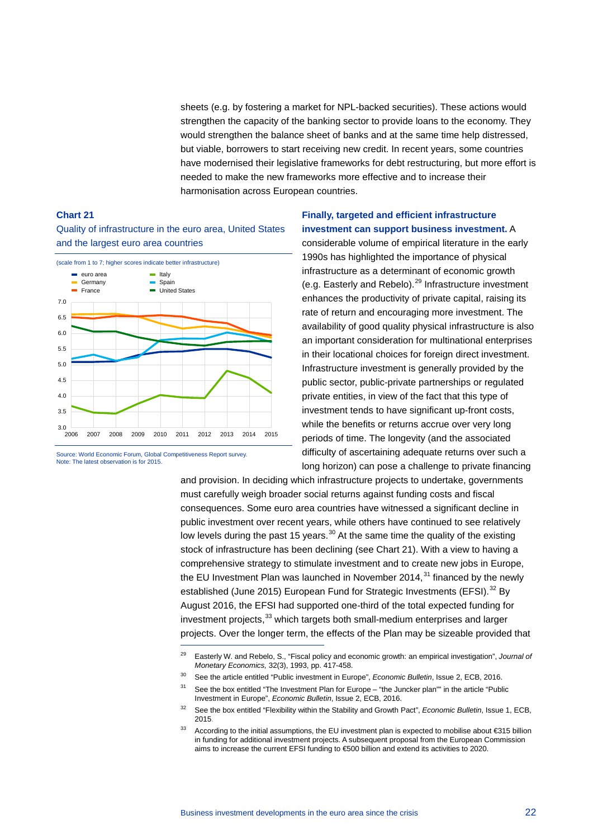sheets (e.g. by fostering a market for NPL-backed securities). These actions would strengthen the capacity of the banking sector to provide loans to the economy. They would strengthen the balance sheet of banks and at the same time help distressed, but viable, borrowers to start receiving new credit. In recent years, some countries have modernised their legislative frameworks for debt restructuring, but more effort is needed to make the new frameworks more effective and to increase their harmonisation across European countries.

### **Chart 21**

Quality of infrastructure in the euro area, United States and the largest euro area countries



Source: World Economic Forum, Global Competitiveness Report survey. Note: The latest observation is for 2015.

-

# **Finally, targeted and efficient infrastructure investment can support business investment.** A

considerable volume of empirical literature in the early 1990s has highlighted the importance of physical infrastructure as a determinant of economic growth (e.g. Easterly and Rebelo).<sup>[29](#page-21-0)</sup> Infrastructure investment enhances the productivity of private capital, raising its rate of return and encouraging more investment. The availability of good quality physical infrastructure is also an important consideration for multinational enterprises in their locational choices for foreign direct investment. Infrastructure investment is generally provided by the public sector, public-private partnerships or regulated private entities, in view of the fact that this type of investment tends to have significant up-front costs, while the benefits or returns accrue over very long periods of time. The longevity (and the associated difficulty of ascertaining adequate returns over such a long horizon) can pose a challenge to private financing

and provision. In deciding which infrastructure projects to undertake, governments must carefully weigh broader social returns against funding costs and fiscal consequences. Some euro area countries have witnessed a significant decline in public investment over recent years, while others have continued to see relatively low levels during the past 15 years. $30$  At the same time the quality of the existing stock of infrastructure has been declining (see Chart 21). With a view to having a comprehensive strategy to stimulate investment and to create new jobs in Europe, the EU Investment Plan was launched in November 2014, $31$  financed by the newly established (June 2015) European Fund for Strategic Investments (EFSI).<sup>[32](#page-21-3)</sup> By August 2016, the EFSI had supported one-third of the total expected funding for investment projects,<sup>[33](#page-21-4)</sup> which targets both small-medium enterprises and larger projects. Over the longer term, the effects of the Plan may be sizeable provided that

- <sup>30</sup> See the article entitled "Public investment in Europe", *Economic Bulletin*, Issue 2, ECB, 2016.
- <span id="page-21-2"></span><span id="page-21-1"></span> $31$  See the box entitled "The Investment Plan for Europe – "the Juncker plan"" in the article "Public Investment in Europe", *Economic Bulletin*, Issue 2, ECB, 2016.

<span id="page-21-0"></span><sup>29</sup> Easterly W. and Rebelo, S., "Fiscal policy and economic growth: an empirical investigation", *Journal of Monetary Economics,* 32(3), 1993, pp. 417-458.

<span id="page-21-3"></span><sup>32</sup> See the box entitled "Flexibility within the Stability and Growth Pact", *Economic Bulletin*, Issue 1, ECB, 2015.

<span id="page-21-4"></span><sup>33</sup> According to the initial assumptions, the EU investment plan is expected to mobilise about €315 billion in funding for additional investment projects. A subsequent proposal from the European Commission aims to increase the current EFSI funding to €500 billion and extend its activities to 2020.